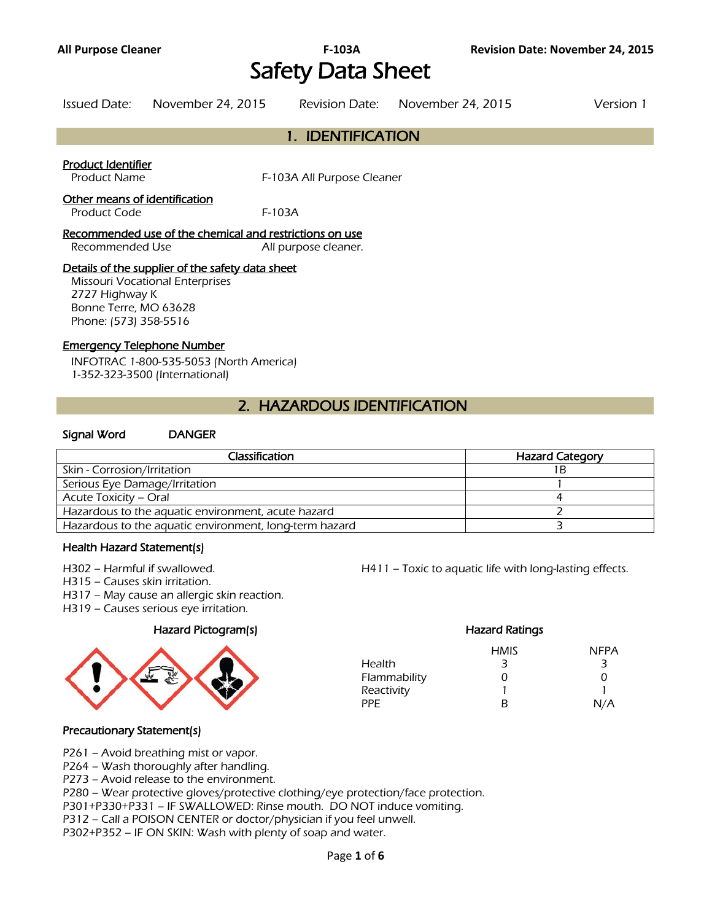# Safety Data Sheet

| Issued Date: | November 24, 2015 | Revision Date: November 24, 2015 | Version 1 |
|--------------|-------------------|----------------------------------|-----------|
|              |                   |                                  |           |

# 1. IDENTIFICATION

#### Product Identifier

Product Name **F-103A All Purpose Cleaner** 

#### Other means of identification

Product Code F-103A

# Recommended use of the chemical and restrictions on use Recommended Use **All purpose cleaner.**

# Details of the supplier of the safety data sheet

Missouri Vocational Enterprises 2727 Highway K Bonne Terre, MO 63628 Phone: (573) 358-5516

#### Emergency Telephone Number

INFOTRAC 1-800-535-5053 (North America) 1-352-323-3500 (International)

# 2. HAZARDOUS IDENTIFICATION

#### Signal Word DANGER

| Classification                                         | <b>Hazard Category</b> |
|--------------------------------------------------------|------------------------|
| Skin - Corrosion/Irritation                            |                        |
| Serious Eye Damage/Irritation                          |                        |
| Acute Toxicity – Oral                                  |                        |
| Hazardous to the aquatic environment, acute hazard     |                        |
| Hazardous to the aquatic environment, long-term hazard |                        |
|                                                        |                        |

#### Health Hazard Statement(s)

H315 – Causes skin irritation.

- H317 May cause an allergic skin reaction.
- H319 Causes serious eye irritation.

# Hazard Pictogram(s) Hazard Ratings



H302 – Harmful if swallowed. H411 – Toxic to aquatic life with long-lasting effects.

|              | <b>HMIS</b> | <b>NFPA</b> |
|--------------|-------------|-------------|
| Health       | 3           | -3          |
| Flammability | O           | O           |
| Reactivity   |             |             |
| PPF.         | R           | N/A         |

# Precautionary Statement(s)

P261 – Avoid breathing mist or vapor.

P264 – Wash thoroughly after handling.

P273 – Avoid release to the environment.

P280 – Wear protective gloves/protective clothing/eye protection/face protection.

P301+P330+P331 – IF SWALLOWED: Rinse mouth. DO NOT induce vomiting.

P312 – Call a POISON CENTER or doctor/physician if you feel unwell.

P302+P352 – IF ON SKIN: Wash with plenty of soap and water.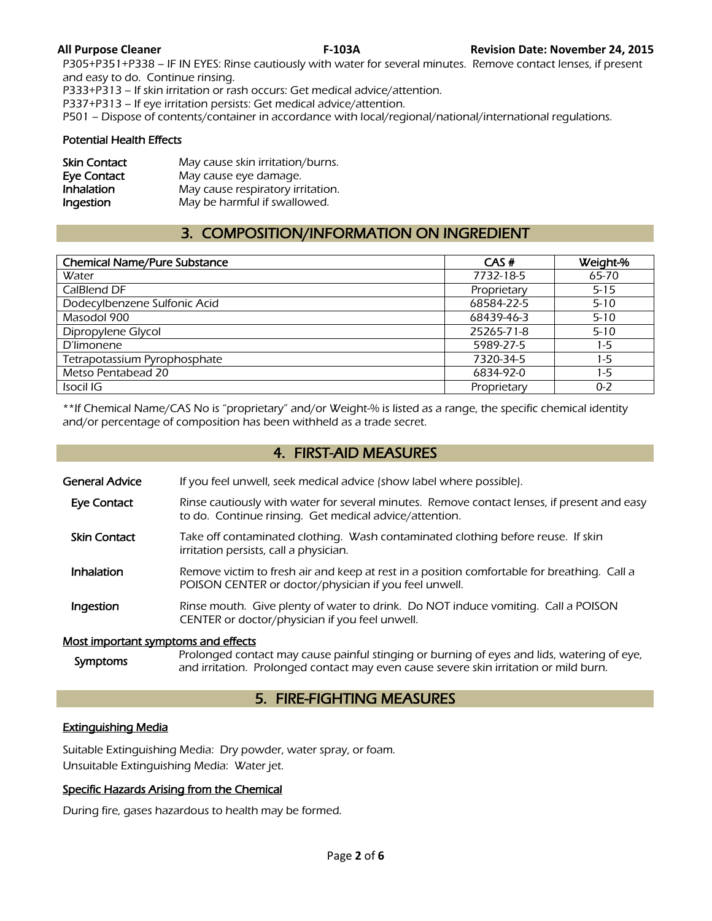P305+P351+P338 – IF IN EYES: Rinse cautiously with water for several minutes. Remove contact lenses, if present and easy to do. Continue rinsing.

P333+P313 – If skin irritation or rash occurs: Get medical advice/attention.

P337+P313 – If eye irritation persists: Get medical advice/attention.

P501 – Dispose of contents/container in accordance with local/regional/national/international regulations.

#### Potential Health Effects

| <b>Skin Contact</b> | May cause skin irritation/burns.  |
|---------------------|-----------------------------------|
| Eye Contact         | May cause eye damage.             |
| Inhalation          | May cause respiratory irritation. |
| Ingestion           | May be harmful if swallowed.      |

# 3. COMPOSITION/INFORMATION ON INGREDIENT

| <b>Chemical Name/Pure Substance</b> | CAS#        | Weight-% |
|-------------------------------------|-------------|----------|
| Water                               | 7732-18-5   | 65-70    |
| CalBlend DF                         | Proprietary | $5 - 15$ |
| Dodecylbenzene Sulfonic Acid        | 68584-22-5  | $5 - 10$ |
| Masodol 900                         | 68439-46-3  | $5 - 10$ |
| Dipropylene Glycol                  | 25265-71-8  | $5 - 10$ |
| <b>D'limonene</b>                   | 5989-27-5   | $1-5$    |
| Tetrapotassium Pyrophosphate        | 7320-34-5   | $1-5$    |
| Metso Pentabead 20                  | 6834-92-0   | $1-5$    |
| Isocil IG                           | Proprietary | $0 - 2$  |
|                                     |             |          |

\*\*If Chemical Name/CAS No is "proprietary" and/or Weight-% is listed as a range, the specific chemical identity and/or percentage of composition has been withheld as a trade secret.

# 4. FIRST-AID MEASURES

General Advice If you feel unwell, seek medical advice (show label where possible).

- Eye Contact Rinse cautiously with water for several minutes. Remove contact lenses, if present and easy to do. Continue rinsing. Get medical advice/attention.
- Skin Contact Take off contaminated clothing. Wash contaminated clothing before reuse. If skin irritation persists, call a physician.
- Inhalation Remove victim to fresh air and keep at rest in a position comfortable for breathing. Call a POISON CENTER or doctor/physician if you feel unwell.
- **Ingestion** Rinse mouth. Give plenty of water to drink. Do NOT induce vomiting. Call a POISON CENTER or doctor/physician if you feel unwell.

#### Most important symptoms and effects

Symptoms Prolonged contact may cause painful stinging or burning of eyes and lids, watering of eye,<br>symptoms and initiation. Butlet and contact may sure acuse acuse alimitation annuil burn and irritation. Prolonged contact may even cause severe skin irritation or mild burn.

# 5. FIRE-FIGHTING MEASURES

# Extinguishing Media

Suitable Extinguishing Media: Dry powder, water spray, or foam. Unsuitable Extinguishing Media: Water jet.

# Specific Hazards Arising from the Chemical

During fire, gases hazardous to health may be formed.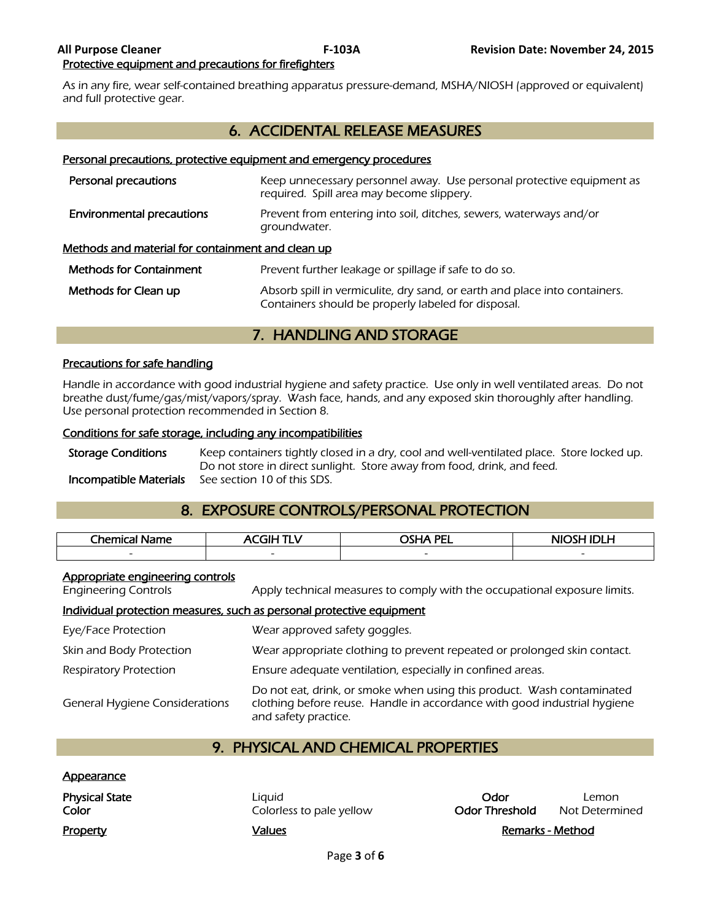As in any fire, wear self-contained breathing apparatus pressure-demand, MSHA/NIOSH (approved or equivalent) and full protective gear.

# 6. ACCIDENTAL RELEASE MEASURES

#### Personal precautions, protective equipment and emergency procedures

| Personal precautions                              | Keep unnecessary personnel away. Use personal protective equipment as<br>required. Spill area may become slippery.                |
|---------------------------------------------------|-----------------------------------------------------------------------------------------------------------------------------------|
| <b>Environmental precautions</b>                  | Prevent from entering into soil, ditches, sewers, waterways and/or<br>groundwater.                                                |
| Methods and material for containment and clean up |                                                                                                                                   |
| <b>Methods for Containment</b>                    | Prevent further leakage or spillage if safe to do so.                                                                             |
| Methods for Clean up                              | Absorb spill in vermiculite, dry sand, or earth and place into containers.<br>Containers should be properly labeled for disposal. |

# 7. HANDLING AND STORAGE

# Precautions for safe handling

Handle in accordance with good industrial hygiene and safety practice. Use only in well ventilated areas. Do not breathe dust/fume/gas/mist/vapors/spray. Wash face, hands, and any exposed skin thoroughly after handling. Use personal protection recommended in Section 8.

#### Conditions for safe storage, including any incompatibilities

Storage Conditions Keep containers tightly closed in a dry, cool and well-ventilated place. Store locked up. Do not store in direct sunlight. Store away from food, drink, and feed. Incompatible Materials See section 10 of this SDS.

# 8. EXPOSURE CONTROLS/PERSONAL PROTECTION

| <b>Chemica</b><br>Name<br>- | . TIE<br>м. | <b>PEL</b>               | <b>NIOSH</b> |
|-----------------------------|-------------|--------------------------|--------------|
|                             |             | $\overline{\phantom{0}}$ | -            |
|                             |             |                          |              |

# Appropriate engineering controls

Engineering Controls Apply technical measures to comply with the occupational exposure limits.

#### Individual protection measures, such as personal protective equipment

| Eye/Face Protection                   | Wear approved safety goggles.                                                                                                                                              |
|---------------------------------------|----------------------------------------------------------------------------------------------------------------------------------------------------------------------------|
| Skin and Body Protection              | Wear appropriate clothing to prevent repeated or prolonged skin contact.                                                                                                   |
| Respiratory Protection                | Ensure adequate ventilation, especially in confined areas.                                                                                                                 |
| <b>General Hygiene Considerations</b> | Do not eat, drink, or smoke when using this product. Wash contaminated<br>clothing before reuse. Handle in accordance with good industrial hygiene<br>and safety practice. |

# 9. PHYSICAL AND CHEMICAL PROPERTIES

# Appearance

| <b>Physical State</b> | Liauid                   | Odor           | Lemon            |
|-----------------------|--------------------------|----------------|------------------|
| Color                 | Colorless to pale yellow | Odor Threshold | Not Determined   |
| Property              | Values                   |                | Remarks - Method |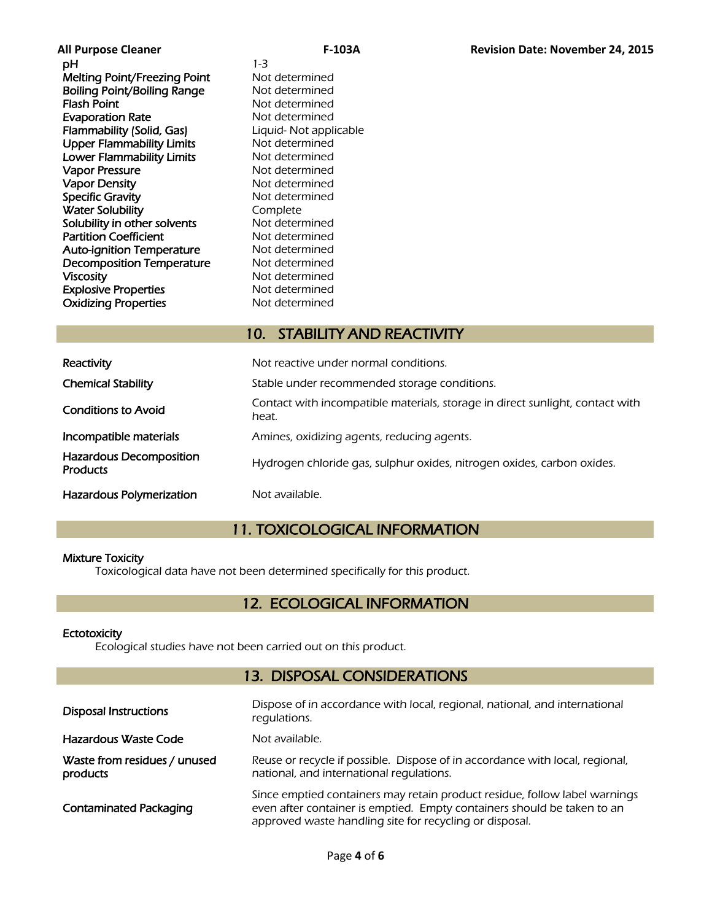**pH** 1-3 Melting Point/Freezing Point Not determined Boiling Point/Boiling Range Not determined Flash Point **Flash Point** Not determined **Evaporation Rate** Not determined Flammability (Solid, Gas) Liquid- Not applicable Upper Flammability Limits Not determined Lower Flammability Limits Not determined Vapor Pressure Not determined Vapor Density Not determined Specific Gravity **Not determined Water Solubility Complete**<br> **Solubility in other solvents** Not determined Solubility in other solvents Partition Coefficient Not determined Auto-ignition Temperature Mot determined Decomposition Temperature Not determined Viscosity<br>
Explosive Properties<br>
Explosive Properties<br>
Not determined **Explosive Properties** Oxidizing Properties Not determined

# 10. STABILITY AND REACTIVITY

| Reactivity                                        | Not reactive under normal conditions.                                                  |
|---------------------------------------------------|----------------------------------------------------------------------------------------|
| <b>Chemical Stability</b>                         | Stable under recommended storage conditions.                                           |
| <b>Conditions to Avoid</b>                        | Contact with incompatible materials, storage in direct sunlight, contact with<br>heat. |
| Incompatible materials                            | Amines, oxidizing agents, reducing agents.                                             |
| <b>Hazardous Decomposition</b><br><b>Products</b> | Hydrogen chloride gas, sulphur oxides, nitrogen oxides, carbon oxides.                 |
| Hazardous Polymerization                          | Not available.                                                                         |

# 11. TOXICOLOGICAL INFORMATION

# Mixture Toxicity

Toxicological data have not been determined specifically for this product.

# 12. ECOLOGICAL INFORMATION

# **Ectotoxicity**

Ecological studies have not been carried out on this product.

# 13. DISPOSAL CONSIDERATIONS

| <b>Disposal Instructions</b>             | Dispose of in accordance with local, regional, national, and international<br>regulations.                                                                                                                       |
|------------------------------------------|------------------------------------------------------------------------------------------------------------------------------------------------------------------------------------------------------------------|
| Hazardous Waste Code                     | Not available.                                                                                                                                                                                                   |
| Waste from residues / unused<br>products | Reuse or recycle if possible. Dispose of in accordance with local, regional,<br>national, and international regulations.                                                                                         |
| <b>Contaminated Packaging</b>            | Since emptied containers may retain product residue, follow label warnings<br>even after container is emptied. Empty containers should be taken to an<br>approved waste handling site for recycling or disposal. |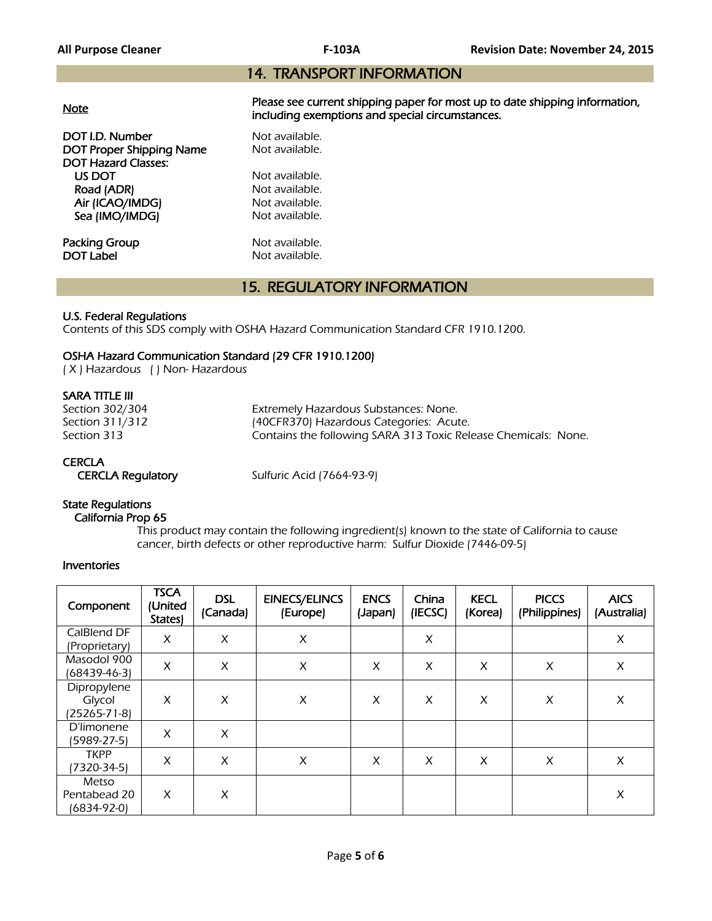# 14. TRANSPORT INFORMATION

|--|

**DOT I.D. Number Not available.**<br> **DOT Proper Shipping Name** Not available. DOT Proper Shipping Name DOT Hazard Classes: US DOT Not available.<br>
Road (ADR) Not available. Road (ADR) Air (ICAO/IMDG) Not available. Sea (IMO/IMDG) Not available.

**Packing Group Not available.**<br> **DOT Label Not available.** 

Please see current shipping paper for most up to date shipping information, including exemptions and special circumstances.

Not available.

# 15. REGULATORY INFORMATION

# U.S. Federal Regulations

Contents of this SDS comply with OSHA Hazard Communication Standard CFR 1910.1200.

# OSHA Hazard Communication Standard (29 CFR 1910.1200)

( X ) Hazardous ( ) Non- Hazardous

# SARA TITLE III

| Section 302/304 | Extremely Hazardous Substances: None.                          |
|-----------------|----------------------------------------------------------------|
| Section 311/312 | (40CFR370) Hazardous Categories: Acute.                        |
| Section 313     | Contains the following SARA 313 Toxic Release Chemicals: None. |

# **CERCLA**

CERCLA Regulatory Sulfuric Acid (7664-93-9)

# State Regulations

# California Prop 65

 This product may contain the following ingredient(s) known to the state of California to cause cancer, birth defects or other reproductive harm: Sulfur Dioxide (7446-09-5)

# Inventories

| Component                             | <b>TSCA</b><br>(United<br>States) | <b>DSL</b><br>(Canada) | <b>EINECS/ELINCS</b><br>(Europe) | <b>ENCS</b><br>(Japan) | China<br>(IECSC) | <b>KECL</b><br>(Korea) | <b>PICCS</b><br>(Philippines) | <b>AICS</b><br>(Australia) |
|---------------------------------------|-----------------------------------|------------------------|----------------------------------|------------------------|------------------|------------------------|-------------------------------|----------------------------|
| CalBlend DF<br>(Proprietary)          | X                                 | X                      | X                                |                        | X                |                        |                               | $\pmb{\times}$             |
| Masodol 900<br>(68439-46-3)           | X                                 | X                      | X                                | X                      | X                | X                      | X                             | $\pmb{\times}$             |
| Dipropylene<br>Glycol<br>(25265-71-8) | X                                 | X                      | X                                | X                      | X                | X                      | X                             | X                          |
| D'limonene<br>(5989-27-5)             | X                                 | X                      |                                  |                        |                  |                        |                               |                            |
| <b>TKPP</b><br>(7320-34-5)            | X                                 | X                      | X                                | X                      | X                | X                      | X                             | X                          |
| Metso<br>Pentabead 20<br>(6834-92-0)  | X                                 | X                      |                                  |                        |                  |                        |                               | X                          |